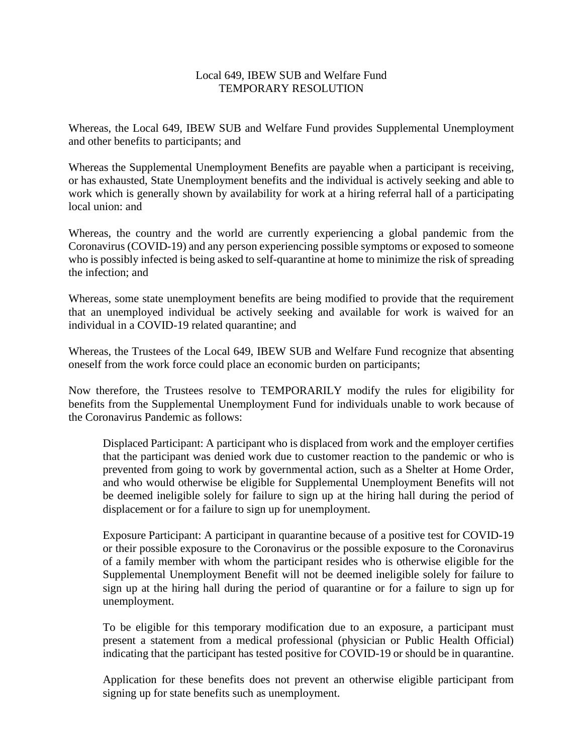## Local 649, IBEW SUB and Welfare Fund TEMPORARY RESOLUTION

Whereas, the Local 649, IBEW SUB and Welfare Fund provides Supplemental Unemployment and other benefits to participants; and

Whereas the Supplemental Unemployment Benefits are payable when a participant is receiving, or has exhausted, State Unemployment benefits and the individual is actively seeking and able to work which is generally shown by availability for work at a hiring referral hall of a participating local union: and

Whereas, the country and the world are currently experiencing a global pandemic from the Coronavirus (COVID-19) and any person experiencing possible symptoms or exposed to someone who is possibly infected is being asked to self-quarantine at home to minimize the risk of spreading the infection; and

Whereas, some state unemployment benefits are being modified to provide that the requirement that an unemployed individual be actively seeking and available for work is waived for an individual in a COVID-19 related quarantine; and

Whereas, the Trustees of the Local 649, IBEW SUB and Welfare Fund recognize that absenting oneself from the work force could place an economic burden on participants;

Now therefore, the Trustees resolve to TEMPORARILY modify the rules for eligibility for benefits from the Supplemental Unemployment Fund for individuals unable to work because of the Coronavirus Pandemic as follows:

Displaced Participant: A participant who is displaced from work and the employer certifies that the participant was denied work due to customer reaction to the pandemic or who is prevented from going to work by governmental action, such as a Shelter at Home Order, and who would otherwise be eligible for Supplemental Unemployment Benefits will not be deemed ineligible solely for failure to sign up at the hiring hall during the period of displacement or for a failure to sign up for unemployment.

Exposure Participant: A participant in quarantine because of a positive test for COVID-19 or their possible exposure to the Coronavirus or the possible exposure to the Coronavirus of a family member with whom the participant resides who is otherwise eligible for the Supplemental Unemployment Benefit will not be deemed ineligible solely for failure to sign up at the hiring hall during the period of quarantine or for a failure to sign up for unemployment.

To be eligible for this temporary modification due to an exposure, a participant must present a statement from a medical professional (physician or Public Health Official) indicating that the participant has tested positive for COVID-19 or should be in quarantine.

Application for these benefits does not prevent an otherwise eligible participant from signing up for state benefits such as unemployment.